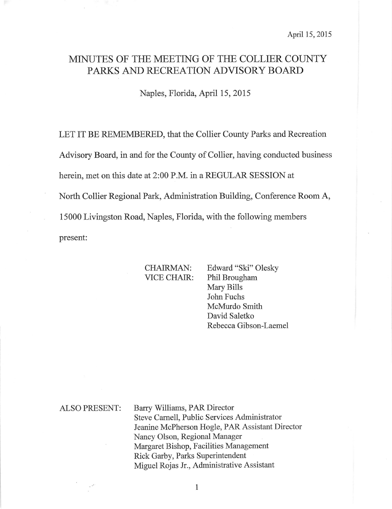# MINUTES OF THE MEETING OF THE COLLIER COUNTY PARKS AND RECREATION ADVISORY BOARD

Naples, Florida, April 15,2015

LET IT BE REMEMBERED, that the Collier County Parks and Recreation Advisory Board, in and for the County of Collier, having conducted business herein, met on this date at 2:00 P.M. in a REGULAR SESSION at North Collier Regional Park, Administration Building, Conference Room A, 15000 Livingston Road, Naples, Florida, with the following members present:

CHAIRMAN: Edward "Ski" Olesky VICE CHAIR: Phil Brougham Mary Bills John Fuchs McMurdo Smith David Saletko Rebecca Gibson-Laemel

ALSO PRESENT: Barry Williams, PAR Director Steve Carnell, Public Services Administrator Jeanine McPherson Hogle, PAR Assistant Director Nancy Olson, Regional Manager Margaret Bishop, Facilities Management Rick Garby, Parks Superintendent Miguel Rojas Jr., Administrative Assistant

 $1\,$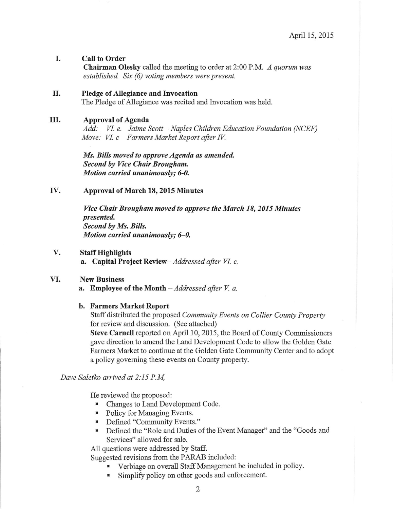# I. Call to Order

Chairman Olesky called the meeting to order at 2:00 P.M. A quorum was established. Six (6) voting members were present.

## II. Pledge of Allegiance and Invocation

The Pledge of Allegiance was recited and Invocation was held.

## III. Approval of Agenda

Add: VI. e. Jaime Scott - Naples Children Education Foundation (NCEF) Move: VI. c Farmers Market Report after IV.

Ms. Bills moved to approve Agenda as amended. Second by Vice Chair Brougham. Motion carried unanimously; 6-0.

IV. Approval of March 18,2015 Minutes

Vice Chair Brougham moved to approve the March 18, 2015 Minutes presented Second by Ms. Bills. Motion carried unanimously;  $6-0$ .

V. Staff Highlights a. Capital Project Review- Addressed after VI. c.

# VI. New Business

a. Employee of the Month  $-$  Addressed after V. a.

# b. Farmers Market Report

Staff distributed the proposed Community Events on Collier County Property for review and discussion. (See attached)

Steve Carnell reported on April 10, 2015, the Board of County Commissioners gave direction to amend the Land Development Code to allow the Golden Gate Farmers Market to continue at the Golden Gate Community Center and to adopt a policy goveming these events on County property.

Dave Saletko arrived at 2: I5 P.M,

He reviewed the proposed:

- ' Changes to Land Development Code.
- . Policy for Managing Events.
- . Defined "Community Events."
- . Defined the "Role and Duties of the Event Manager" and the "Goods and Services" allowed for sale.

All questions were addressed by Staff.

Suggested revisions from the PARAB included:

- Verbiage on overall Staff Management be included in policy.<br>
Simplify policy on other goods and enforcement.
	- Simplify policy on other goods and enforcement.